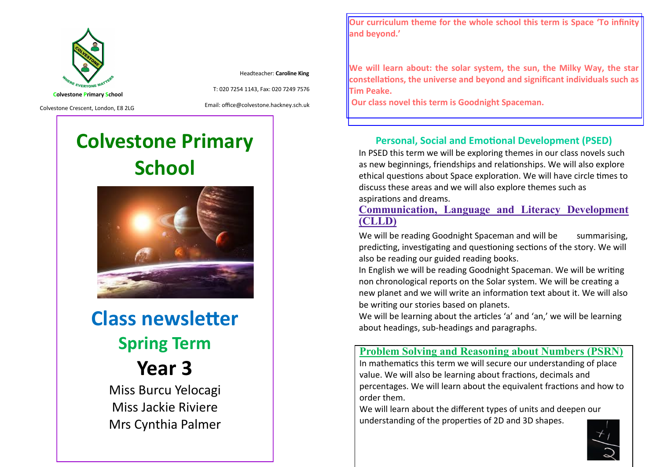

Headteacher: **Caroline King**

**Colvestone Primary School**

Colvestone Crescent, London, E8 2LG

Email: office@colvestone.hackney.sch.uk

T: 020 7254 1143, Fax: 020 7249 7576

# **Colvestone Primary School**



**Class newsletter Spring Term Year 3** Miss Burcu Yelocagi Miss Jackie Riviere

Mrs Cynthia Palmer

**Our curriculum theme for the whole school this term is Space 'To infinity and beyond.'**

**We will learn about: the solar system, the sun, the Milky Way, the star constellations, the universe and beyond and significant individuals such as Tim Peake.**

**Our class novel this term is Goodnight Spaceman.**

#### **Personal, Social and Emotional Development (PSED)**

In PSED this term we will be exploring themes in our class novels such as new beginnings, friendships and relationships. We will also explore ethical questions about Space exploration. We will have circle times to discuss these areas and we will also explore themes such as aspirations and dreams.

**Communication, Language and Literacy Development (CLLD)**

We will be reading Goodnight Spaceman and will be summarising, predicting, investigating and questioning sections of the story. We will also be reading our guided reading books.

In English we will be reading Goodnight Spaceman. We will be writing non chronological reports on the Solar system. We will be creating a new planet and we will write an information text about it. We will also be writing our stories based on planets.

We will be learning about the articles 'a' and 'an,' we will be learning about headings, sub-headings and paragraphs.

#### **Problem Solving and Reasoning about Numbers (PSRN)**

In mathematics this term we will secure our understanding of place value. We will also be learning about fractions, decimals and percentages. We will learn about the equivalent fractions and how to order them.

We will learn about the different types of units and deepen our understanding of the properties of 2D and 3D shapes.